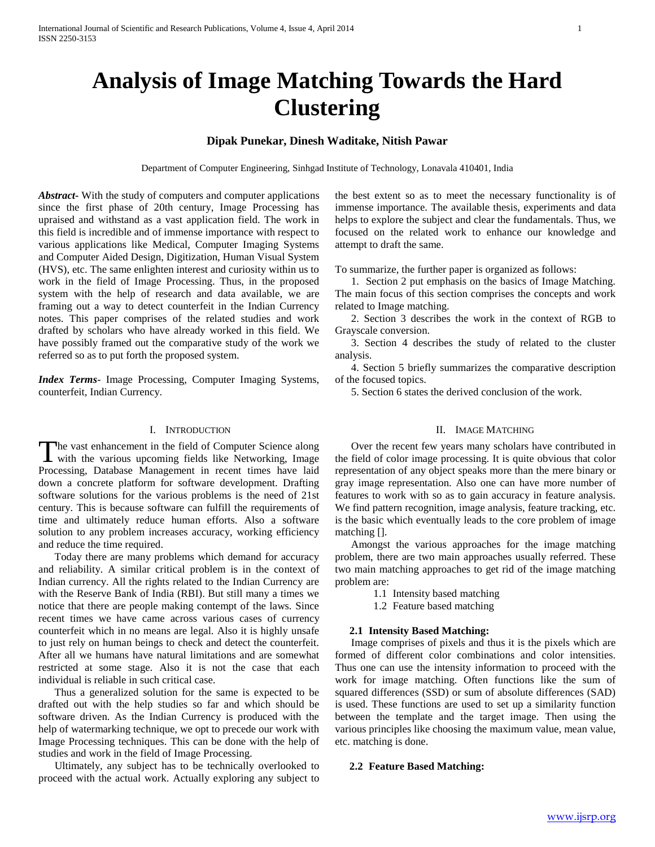# **Analysis of Image Matching Towards the Hard Clustering**

# **Dipak Punekar, Dinesh Waditake, Nitish Pawar**

Department of Computer Engineering, Sinhgad Institute of Technology, Lonavala 410401, India

*Abstract***-** With the study of computers and computer applications since the first phase of 20th century, Image Processing has upraised and withstand as a vast application field. The work in this field is incredible and of immense importance with respect to various applications like Medical, Computer Imaging Systems and Computer Aided Design, Digitization, Human Visual System (HVS), etc. The same enlighten interest and curiosity within us to work in the field of Image Processing. Thus, in the proposed system with the help of research and data available, we are framing out a way to detect counterfeit in the Indian Currency notes. This paper comprises of the related studies and work drafted by scholars who have already worked in this field. We have possibly framed out the comparative study of the work we referred so as to put forth the proposed system.

*Index Terms*- Image Processing, Computer Imaging Systems, counterfeit, Indian Currency.

## I. INTRODUCTION

he vast enhancement in the field of Computer Science along with the various upcoming fields like Networking, Image The vast enhancement in the field of Computer Science along<br>with the various upcoming fields like Networking, Image<br>Processing, Database Management in recent times have laid down a concrete platform for software development. Drafting software solutions for the various problems is the need of 21st century. This is because software can fulfill the requirements of time and ultimately reduce human efforts. Also a software solution to any problem increases accuracy, working efficiency and reduce the time required.

 Today there are many problems which demand for accuracy and reliability. A similar critical problem is in the context of Indian currency. All the rights related to the Indian Currency are with the Reserve Bank of India (RBI). But still many a times we notice that there are people making contempt of the laws. Since recent times we have came across various cases of currency counterfeit which in no means are legal. Also it is highly unsafe to just rely on human beings to check and detect the counterfeit. After all we humans have natural limitations and are somewhat restricted at some stage. Also it is not the case that each individual is reliable in such critical case.

 Thus a generalized solution for the same is expected to be drafted out with the help studies so far and which should be software driven. As the Indian Currency is produced with the help of watermarking technique, we opt to precede our work with Image Processing techniques. This can be done with the help of studies and work in the field of Image Processing.

 Ultimately, any subject has to be technically overlooked to proceed with the actual work. Actually exploring any subject to the best extent so as to meet the necessary functionality is of immense importance. The available thesis, experiments and data helps to explore the subject and clear the fundamentals. Thus, we focused on the related work to enhance our knowledge and attempt to draft the same.

To summarize, the further paper is organized as follows:

 1. Section 2 put emphasis on the basics of Image Matching. The main focus of this section comprises the concepts and work related to Image matching.

 2. Section 3 describes the work in the context of RGB to Grayscale conversion.

 3. Section 4 describes the study of related to the cluster analysis.

 4. Section 5 briefly summarizes the comparative description of the focused topics.

5. Section 6 states the derived conclusion of the work.

## II. IMAGE MATCHING

 Over the recent few years many scholars have contributed in the field of color image processing. It is quite obvious that color representation of any object speaks more than the mere binary or gray image representation. Also one can have more number of features to work with so as to gain accuracy in feature analysis. We find pattern recognition, image analysis, feature tracking, etc. is the basic which eventually leads to the core problem of image matching [].

 Amongst the various approaches for the image matching problem, there are two main approaches usually referred. These two main matching approaches to get rid of the image matching problem are:

- 1.1 Intensity based matching
- 1.2 Feature based matching

## **2.1 Intensity Based Matching:**

 Image comprises of pixels and thus it is the pixels which are formed of different color combinations and color intensities. Thus one can use the intensity information to proceed with the work for image matching. Often functions like the sum of squared differences (SSD) or sum of absolute differences (SAD) is used. These functions are used to set up a similarity function between the template and the target image. Then using the various principles like choosing the maximum value, mean value, etc. matching is done.

#### **2.2 Feature Based Matching:**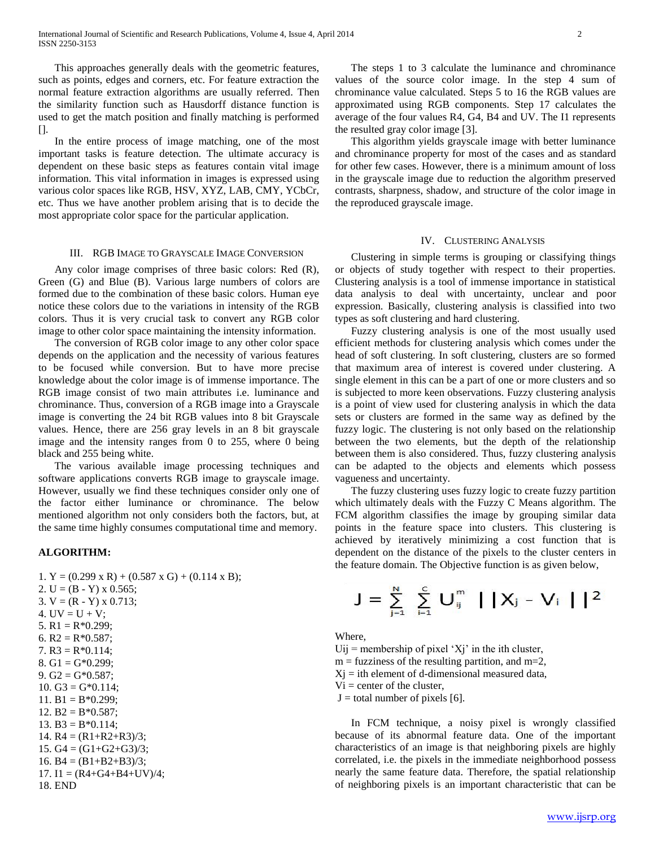This approaches generally deals with the geometric features, such as points, edges and corners, etc. For feature extraction the normal feature extraction algorithms are usually referred. Then the similarity function such as Hausdorff distance function is used to get the match position and finally matching is performed  $[$ ].

 In the entire process of image matching, one of the most important tasks is feature detection. The ultimate accuracy is dependent on these basic steps as features contain vital image information. This vital information in images is expressed using various color spaces like RGB, HSV, XYZ, LAB, CMY, YCbCr, etc. Thus we have another problem arising that is to decide the most appropriate color space for the particular application.

## III. RGB IMAGE TO GRAYSCALE IMAGE CONVERSION

 Any color image comprises of three basic colors: Red (R), Green (G) and Blue (B). Various large numbers of colors are formed due to the combination of these basic colors. Human eye notice these colors due to the variations in intensity of the RGB colors. Thus it is very crucial task to convert any RGB color image to other color space maintaining the intensity information.

 The conversion of RGB color image to any other color space depends on the application and the necessity of various features to be focused while conversion. But to have more precise knowledge about the color image is of immense importance. The RGB image consist of two main attributes i.e. luminance and chrominance. Thus, conversion of a RGB image into a Grayscale image is converting the 24 bit RGB values into 8 bit Grayscale values. Hence, there are 256 gray levels in an 8 bit grayscale image and the intensity ranges from 0 to 255, where 0 being black and 255 being white.

 The various available image processing techniques and software applications converts RGB image to grayscale image. However, usually we find these techniques consider only one of the factor either luminance or chrominance. The below mentioned algorithm not only considers both the factors, but, at the same time highly consumes computational time and memory.

#### **ALGORITHM:**

|  | 1. Y = $(0.299 \times R) + (0.587 \times G) + (0.114 \times B);$ |  |
|--|------------------------------------------------------------------|--|
|  | 2. U = $(B - Y)$ x 0.565;                                        |  |

```
3. V = (R - Y) \times 0.713;
4. UV = U + V;
5. R1 = R*0.299;
6. R2 = R*0.587;
7. R3 = R*0.114;
8. G1 = G*0.299;
9. G2 = G*0.587;
10. G3 = G*0.114;
11. B1 = B*0.299;
12. B2 = B*0.587;
13. B3 = B*0.114;
14. R4 = (R1 + R2 + R3)/3;
15. G4 = (G1 + G2 + G3)/3;
16. B4 = (B1+B2+B3)/3;
17. I1 = (R4 + G4 + B4 + UV)/4;18. END
```
 The steps 1 to 3 calculate the luminance and chrominance values of the source color image. In the step 4 sum of chrominance value calculated. Steps 5 to 16 the RGB values are approximated using RGB components. Step 17 calculates the average of the four values R4, G4, B4 and UV. The I1 represents the resulted gray color image [3].

 This algorithm yields grayscale image with better luminance and chrominance property for most of the cases and as standard for other few cases. However, there is a minimum amount of loss in the grayscale image due to reduction the algorithm preserved contrasts, sharpness, shadow, and structure of the color image in the reproduced grayscale image.

#### IV. CLUSTERING ANALYSIS

 Clustering in simple terms is grouping or classifying things or objects of study together with respect to their properties. Clustering analysis is a tool of immense importance in statistical data analysis to deal with uncertainty, unclear and poor expression. Basically, clustering analysis is classified into two types as soft clustering and hard clustering.

 Fuzzy clustering analysis is one of the most usually used efficient methods for clustering analysis which comes under the head of soft clustering. In soft clustering, clusters are so formed that maximum area of interest is covered under clustering. A single element in this can be a part of one or more clusters and so is subjected to more keen observations. Fuzzy clustering analysis is a point of view used for clustering analysis in which the data sets or clusters are formed in the same way as defined by the fuzzy logic. The clustering is not only based on the relationship between the two elements, but the depth of the relationship between them is also considered. Thus, fuzzy clustering analysis can be adapted to the objects and elements which possess vagueness and uncertainty.

 The fuzzy clustering uses fuzzy logic to create fuzzy partition which ultimately deals with the Fuzzy C Means algorithm. The FCM algorithm classifies the image by grouping similar data points in the feature space into clusters. This clustering is achieved by iteratively minimizing a cost function that is dependent on the distance of the pixels to the cluster centers in the feature domain. The Objective function is as given below,

$$
J = \sum_{j=1}^N \sum_{i=1}^C U_{ij}^m \mid |X_j - V_i| |^2
$$

Where,

 $Uij$  = membership of pixel 'Xj' in the ith cluster,  $m =$  fuzziness of the resulting partition, and  $m=2$ ,  $Xi$  = ith element of d-dimensional measured data,  $Vi = center of the cluster$ ,  $J =$  total number of pixels [6].

 In FCM technique, a noisy pixel is wrongly classified because of its abnormal feature data. One of the important characteristics of an image is that neighboring pixels are highly correlated, i.e. the pixels in the immediate neighborhood possess nearly the same feature data. Therefore, the spatial relationship of neighboring pixels is an important characteristic that can be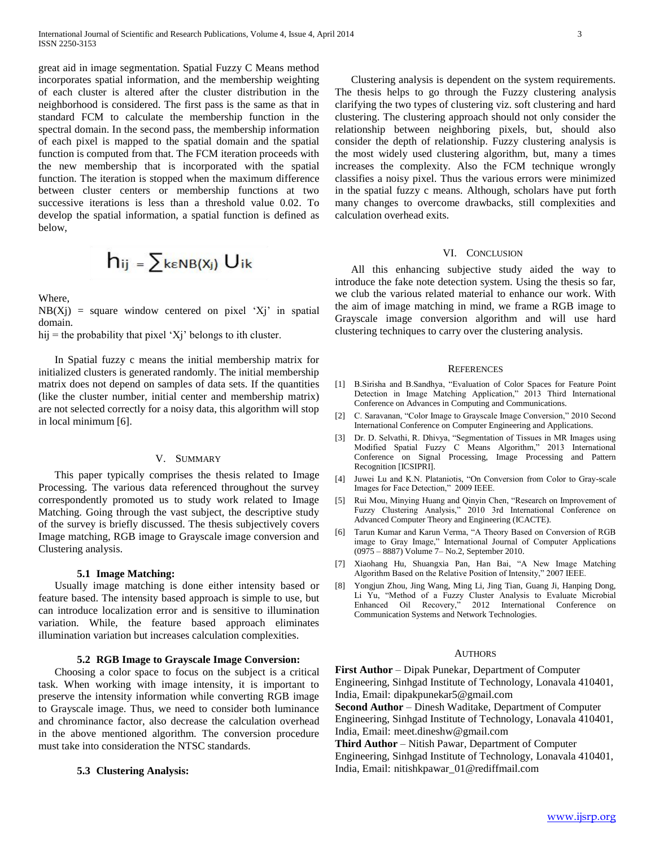great aid in image segmentation. Spatial Fuzzy C Means method incorporates spatial information, and the membership weighting of each cluster is altered after the cluster distribution in the neighborhood is considered. The first pass is the same as that in standard FCM to calculate the membership function in the spectral domain. In the second pass, the membership information of each pixel is mapped to the spatial domain and the spatial function is computed from that. The FCM iteration proceeds with the new membership that is incorporated with the spatial function. The iteration is stopped when the maximum difference between cluster centers or membership functions at two successive iterations is less than a threshold value 0.02. To develop the spatial information, a spatial function is defined as below,

$$
h_{ij} = \sum_{k \in NB(X_j)} U_{ik}
$$

Where,

 $NB(Xj)$  = square window centered on pixel 'Xj' in spatial domain.

hij = the probability that pixel 'Xj' belongs to ith cluster.

 In Spatial fuzzy c means the initial membership matrix for initialized clusters is generated randomly. The initial membership matrix does not depend on samples of data sets. If the quantities (like the cluster number, initial center and membership matrix) are not selected correctly for a noisy data, this algorithm will stop in local minimum [6].

## V. SUMMARY

 This paper typically comprises the thesis related to Image Processing. The various data referenced throughout the survey correspondently promoted us to study work related to Image Matching. Going through the vast subject, the descriptive study of the survey is briefly discussed. The thesis subjectively covers Image matching, RGB image to Grayscale image conversion and Clustering analysis.

#### **5.1 Image Matching:**

 Usually image matching is done either intensity based or feature based. The intensity based approach is simple to use, but can introduce localization error and is sensitive to illumination variation. While, the feature based approach eliminates illumination variation but increases calculation complexities.

#### **5.2 RGB Image to Grayscale Image Conversion:**

 Choosing a color space to focus on the subject is a critical task. When working with image intensity, it is important to preserve the intensity information while converting RGB image to Grayscale image. Thus, we need to consider both luminance and chrominance factor, also decrease the calculation overhead in the above mentioned algorithm. The conversion procedure must take into consideration the NTSC standards.

## **5.3 Clustering Analysis:**

 Clustering analysis is dependent on the system requirements. The thesis helps to go through the Fuzzy clustering analysis clarifying the two types of clustering viz. soft clustering and hard clustering. The clustering approach should not only consider the relationship between neighboring pixels, but, should also consider the depth of relationship. Fuzzy clustering analysis is the most widely used clustering algorithm, but, many a times increases the complexity. Also the FCM technique wrongly classifies a noisy pixel. Thus the various errors were minimized in the spatial fuzzy c means. Although, scholars have put forth many changes to overcome drawbacks, still complexities and calculation overhead exits.

## VI. CONCLUSION

 All this enhancing subjective study aided the way to introduce the fake note detection system. Using the thesis so far, we club the various related material to enhance our work. With the aim of image matching in mind, we frame a RGB image to Grayscale image conversion algorithm and will use hard clustering techniques to carry over the clustering analysis.

#### **REFERENCES**

- [1] B.Sirisha and B.Sandhya, "Evaluation of Color Spaces for Feature Point Detection in Image Matching Application," 2013 Third International Conference on Advances in Computing and Communications.
- [2] C. Saravanan, "Color Image to Grayscale Image Conversion," 2010 Second International Conference on Computer Engineering and Applications.
- [3] Dr. D. Selvathi, R. Dhivya, "Segmentation of Tissues in MR Images using Modified Spatial Fuzzy C Means Algorithm," 2013 International Conference on Signal Processing, Image Processing and Pattern Recognition [ICSIPRI].
- [4] Juwei Lu and K.N. Plataniotis, "On Conversion from Color to Gray-scale Images for Face Detection," 2009 IEEE.
- [5] Rui Mou, Minying Huang and Qinyin Chen, "Research on Improvement of Fuzzy Clustering Analysis," 2010 3rd International Conference on Advanced Computer Theory and Engineering (ICACTE).
- [6] Tarun Kumar and Karun Verma, "A Theory Based on Conversion of RGB image to Gray Image," International Journal of Computer Applications (0975 – 8887) Volume 7– No.2, September 2010.
- [7] Xiaohang Hu, Shuangxia Pan, Han Bai, "A New Image Matching Algorithm Based on the Relative Position of Intensity," 2007 IEEE.
- [8] Yongjun Zhou, Jing Wang, Ming Li, Jing Tian, Guang Ji, Hanping Dong, Li Yu, "Method of a Fuzzy Cluster Analysis to Evaluate Microbial Enhanced Oil Recovery," 2012 International Conference on Communication Systems and Network Technologies.

#### AUTHORS

**First Author** – Dipak Punekar, Department of Computer Engineering, Sinhgad Institute of Technology, Lonavala 410401, India, Email: dipakpunekar5@gmail.com

**Second Author** – Dinesh Waditake, Department of Computer Engineering, Sinhgad Institute of Technology, Lonavala 410401, India, Email: meet.dineshw@gmail.com

**Third Author** – Nitish Pawar, Department of Computer Engineering, Sinhgad Institute of Technology, Lonavala 410401, India, Email: nitishkpawar\_01@rediffmail.com